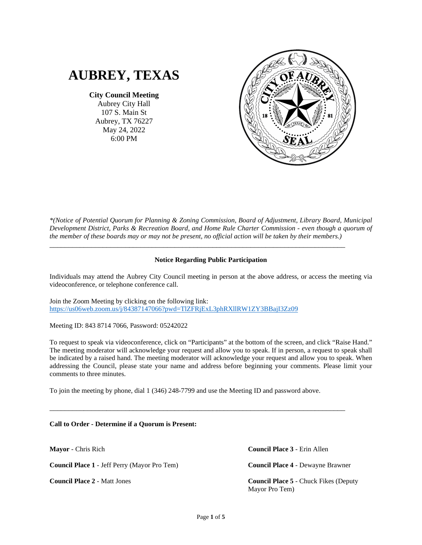

**City Council Meeting**

Aubrey City Hall 107 S. Main St Aubrey, TX 76227 May 24, 2022 6:00 PM



*\*(Notice of Potential Quorum for Planning & Zoning Commission, Board of Adjustment, Library Board, Municipal Development District, Parks & Recreation Board, and Home Rule Charter Commission - even though a quorum of the member of these boards may or may not be present, no official action will be taken by their members.)*

# **Notice Regarding Public Participation**

\_\_\_\_\_\_\_\_\_\_\_\_\_\_\_\_\_\_\_\_\_\_\_\_\_\_\_\_\_\_\_\_\_\_\_\_\_\_\_\_\_\_\_\_\_\_\_\_\_\_\_\_\_\_\_\_\_\_\_\_\_\_\_\_\_\_\_\_\_\_\_\_\_\_\_\_\_\_

Individuals may attend the Aubrey City Council meeting in person at the above address, or access the meeting via videoconference, or telephone conference call.

Join the Zoom Meeting by clicking on the following link: <https://us06web.zoom.us/j/84387147066?pwd=TlZFRjExL3phRXllRW1ZY3BBajI3Zz09>

Meeting ID: 843 8714 7066, Password: 05242022

To request to speak via videoconference, click on "Participants" at the bottom of the screen, and click "Raise Hand." The meeting moderator will acknowledge your request and allow you to speak. If in person, a request to speak shall be indicated by a raised hand. The meeting moderator will acknowledge your request and allow you to speak. When addressing the Council, please state your name and address before beginning your comments. Please limit your comments to three minutes.

To join the meeting by phone, dial 1 (346) 248-7799 and use the Meeting ID and password above.

\_\_\_\_\_\_\_\_\_\_\_\_\_\_\_\_\_\_\_\_\_\_\_\_\_\_\_\_\_\_\_\_\_\_\_\_\_\_\_\_\_\_\_\_\_\_\_\_\_\_\_\_\_\_\_\_\_\_\_\_\_\_\_\_\_\_\_\_\_\_\_\_\_\_\_\_\_\_

**Call to Order - Determine if a Quorum is Present:**

**Mayor** - Chris Rich

**Council Place 1** - Jeff Perry (Mayor Pro Tem)

**Council Place 2** - Matt Jones

**Council Place 3** - Erin Allen

**Council Place 4** - Dewayne Brawner

**Council Place 5** - Chuck Fikes (Deputy Mayor Pro Tem)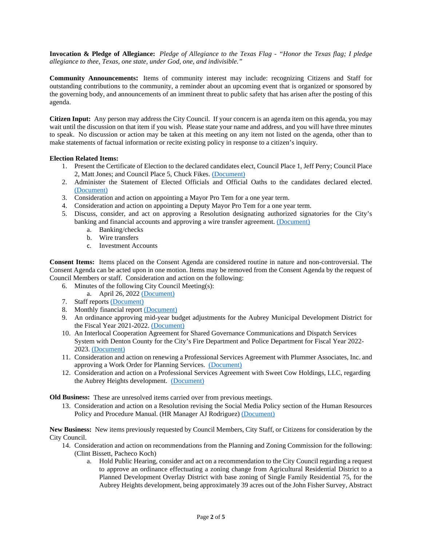**Invocation & Pledge of Allegiance:** *Pledge of Allegiance to the Texas Flag - "Honor the Texas flag; I pledge allegiance to thee, Texas, one state, under God, one, and indivisible."*

**Community Announcements:** Items of community interest may include: recognizing Citizens and Staff for outstanding contributions to the community, a reminder about an upcoming event that is organized or sponsored by the governing body, and announcements of an imminent threat to public safety that has arisen after the posting of this agenda.

**Citizen Input:** Any person may address the City Council. If your concern is an agenda item on this agenda, you may wait until the discussion on that item if you wish. Please state your name and address, and you will have three minutes to speak. No discussion or action may be taken at this meeting on any item not listed on the agenda, other than to make statements of factual information or recite existing policy in response to a citizen's inquiry.

## **Election Related Items:**

- 1. Present the Certificate of Election to the declared candidates elect, Council Place 1, Jeff Perry; Council Place 2, Matt Jones; and Council Place 5, Chuck Fikes[. \(Document\)](https://www.dropbox.com/s/khuear8m29mzu4a/1%20Certificates%20of%20Election.pdf?dl=0)
- 2. Administer the Statement of Elected Officials and Official Oaths to the candidates declared elected. [\(Document\)](https://www.dropbox.com/s/8apj4tb1i9iqcs1/2%20Statement%20%26%20Oath.pdf?dl=0)
- 3. Consideration and action on appointing a Mayor Pro Tem for a one year term.
- 4. Consideration and action on appointing a Deputy Mayor Pro Tem for a one year term.
- 5. Discuss, consider, and act on approving a Resolution designating authorized signatories for the City's banking and financial accounts and approving a wire transfer agreement. [\(Document\)](https://www.dropbox.com/s/4pu7iimvogxm7lc/5%20RES%20889-22%20Bank%20Signers.pdf?dl=0)
	- a. Banking/checks
	- b. Wire transfers
	- c. Investment Accounts

**Consent Items:** Items placed on the Consent Agenda are considered routine in nature and non-controversial. The Consent Agenda can be acted upon in one motion. Items may be removed from the Consent Agenda by the request of Council Members or staff. Consideration and action on the following:

- 6. Minutes of the following City Council Meeting(s):
	- a. April 26, 2022 [\(Document\)](https://www.dropbox.com/s/b055uxkjm6fxb2q/6%202022_04_26%20Minutes.pdf?dl=0)
- 7. Staff reports [\(Document\)](https://www.dropbox.com/s/hkwjbil29xlgodp/7%20Staff%20Reports.pdf?dl=0)
- 8. Monthly financial report [\(Document\)](https://www.dropbox.com/s/nt7jux2089mi169/8%20Monthly%20Financials.pdf?dl=0)
- 9. An ordinance approving mid-year budget adjustments for the Aubrey Municipal Development District for the Fiscal Year 2021-2022. [\(Document\)](https://www.dropbox.com/s/vkl575d5ds0gawo/9%20ORD%20746-22%20MDD%20Budget%20Amendment.pdf?dl=0)
- 10. An Interlocal Cooperation Agreement for Shared Governance Communications and Dispatch Services System with Denton County for the City's Fire Department and Police Department for Fiscal Year 2022- 2023. [\(Document\)](https://www.dropbox.com/s/yrzqh1cbckxx0cd/10%202022-23%20ILA%20FD%20%26%20PD%20Communications%20Contract%20WITH%20Both%20Exhibits.pdf?dl=0)
- 11. Consideration and action on renewing a Professional Services Agreement with Plummer Associates, Inc. and approving a Work Order for Planning Services. [\(Document\)](https://www.dropbox.com/s/zcjz1dlw1xnwld2/11%20Plummer%20PSA.pdf?dl=0)
- 12. Consideration and action on a Professional Services Agreement with Sweet Cow Holdings, LLC, regarding the Aubrey Heights development. [\(Document\)](https://www.dropbox.com/s/s0tmrbfk623azwd/12%20PSA-Aubrey%20Heights%20%28EB%2005182022%29%28v.pdf?dl=0)

**Old Business:** These are unresolved items carried over from previous meetings.

13. Consideration and action on a Resolution revising the Social Media Policy section of the Human Resources Policy and Procedure Manual. (HR Manager AJ Rodriguez) [\(Document\)](https://www.dropbox.com/s/r3at3ulxohnjjm1/13%20RES%20888-22%20Social%20Media%20Policy%20%28Amendment%20to%20HR%20Policy%29.pdf?dl=0)

**New Business:** New items previously requested by Council Members, City Staff, or Citizens for consideration by the City Council.

- 14. Consideration and action on recommendations from the Planning and Zoning Commission for the following: (Clint Bissett, Pacheco Koch)
	- a. Hold Public Hearing, consider and act on a recommendation to the City Council regarding a request to approve an ordinance effectuating a zoning change from Agricultural Residential District to a Planned Development Overlay District with base zoning of Single Family Residential 75, for the Aubrey Heights development, being approximately 39 acres out of the John Fisher Survey, Abstract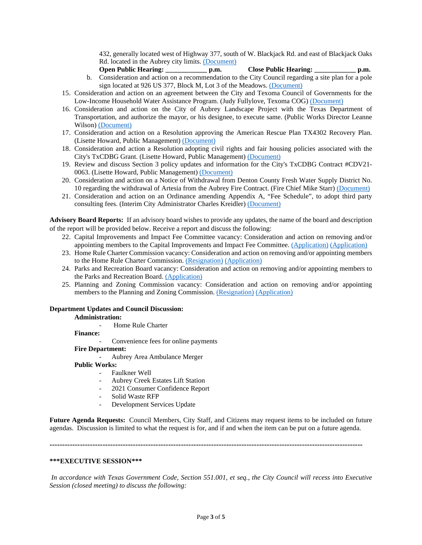432, generally located west of Highway 377, south of W. Blackjack Rd. and east of Blackjack Oaks Rd. located in the Aubrey city limits. [\(Document\)](https://www.dropbox.com/s/kfylsqsyltgvhky/14a%20Aubrey%20Heights%20Zoning%20ORD.pdf?dl=0)

- **Open Public Hearing: \_\_\_\_\_\_\_\_\_\_\_\_ p.m. Close Public Hearing: \_\_\_\_\_\_\_\_\_\_\_\_ p.m.**
- b. Consideration and action on a recommendation to the City Council regarding a site plan for a pole sign located at 926 US 377, Block M, Lot 3 of the Meadows. [\(Document\)](https://www.dropbox.com/s/qzfp321louqrsbk/14b%20926%20US%20Hwy%20377%20Site%20Plan%20for%20Pole%20Sign%20%28Chicken%20Express%29.pdf?dl=0)
- 15. Consideration and action on an agreement between the City and Texoma Council of Governments for the Low-Income Household Water Assistance Program. (Judy Fullylove, Texoma COG) [\(Document\)](https://www.dropbox.com/s/8vxh53uil8btrrj/15%20LIHWAP%20Water%20Provider%20Agreement_Aubrey.pdf?dl=0)
- 16. Consideration and action on the City of Aubrey Landscape Project with the Texas Department of Transportation, and authorize the mayor, or his designee, to execute same. (Public Works Director Leanne Wilson) [\(Document\)](https://www.dropbox.com/s/e191r2rd7klrmf5/16%20Downtown%20Project.pdf?dl=0)
- 17. Consideration and action on a Resolution approving the American Rescue Plan TX4302 Recovery Plan. (Lisette Howard, Public Management) [\(Document\)](https://www.dropbox.com/s/crd84lmwz25k3v6/17%20RES%20890-22%20Recovery%20Plan.pdf?dl=0)
- 18. Consideration and action a Resolution adopting civil rights and fair housing policies associated with the City's TxCDBG Grant. (Lisette Howard, Public Management) [\(Document\)](https://www.dropbox.com/s/v85nu34r00x87zy/18%20RES%20891-22%20CDV21-0063_CIVIL%20RIGHTS%20Resolution%20and%20Policies%20%28EB%2005182022%29.pdf?dl=0)
- 19. Review and discuss Section 3 policy updates and information for the City's TxCDBG Contract #CDV21- 0063. (Lisette Howard, Public Management) [\(Document\)](https://www.dropbox.com/s/eb8xt7wl2e70669/19%20Aubrey%20CDV21-0063_Section%203%20Presentation.pdf?dl=0)
- 20. Consideration and action on a Notice of Withdrawal from Denton County Fresh Water Supply District No. 10 regarding the withdrawal of Artesia from the Aubrey Fire Contract. (Fire Chief Mike Starr[\) \(Document\)](https://www.dropbox.com/s/wj00j01hkt7dzfi/20%20D10%20Letter%20re%20Notice%20of%20Artesia%20Withdrawal%205.11.2022.pdf?dl=0)
- 21. Consideration and action on an Ordinance amending Appendix A, "Fee Schedule", to adopt third party consulting fees. (Interim City Administrator Charles Kreidler) [\(Document\)](https://www.dropbox.com/s/0rhaxwmp1e5ljxx/21%20ORD%20748-22%20Third%20Party%20Consulting%20Fees%20%28EB%2005192022%29.pdf?dl=0)

**Advisory Board Reports:** If an advisory board wishes to provide any updates, the name of the board and description of the report will be provided below. Receive a report and discuss the following:

- 22. Capital Improvements and Impact Fee Committee vacancy: Consideration and action on removing and/or appointing members to the Capital Improvements and Impact Fee Committee. [\(Application\)](https://www.dropbox.com/s/fanb7x59rfvnwo2/22%20Ashley%20LaBate%20Long%20Impact%20CIP%20Committee%20Member%20Application%202021.pdf?dl=0) [\(Application\)](https://www.dropbox.com/s/k494bee7zjyttxp/22%20Karen%20English%20Impact%20Fee%20Committee%20Application.pdf?dl=0)
- 23. Home Rule Charter Commission vacancy: Consideration and action on removing and/or appointing members to the Home Rule Charter Commission. [\(Resignation\)](https://www.dropbox.com/s/gv8skx4dnzu83tw/25%20Joni%27s%20Resignation.pdf?dl=0) [\(Application\)](https://www.dropbox.com/s/febt3h1kp8ptc76/23%20Dean%20Butenschoen%20HRCC%20Application.pdf?dl=0)
- 24. Parks and Recreation Board vacancy: Consideration and action on removing and/or appointing members to the Parks and Recreation Board[. \(Application\)](https://www.dropbox.com/s/kyim66ug0msc9d2/24%20Courtney%20Kelly%20Parks%20Board%20Application.pdf?dl=0)
- 25. Planning and Zoning Commission vacancy: Consideration and action on removing and/or appointing members to the Planning and Zoning Commission. [\(Resignation\)](https://www.dropbox.com/s/gv8skx4dnzu83tw/25%20Joni%27s%20Resignation.pdf?dl=0) [\(Application\)](https://www.dropbox.com/s/zzp9jdbbng5jial/25%20Teresa%20Sanfillipo%20-%20P%26Z%20Board%20Member%20Application.pdf?dl=0)

# **Department Updates and Council Discussion:**

## **Administration:**

Home Rule Charter

**Finance:**

Convenience fees for online payments

- **Fire Department:**
	- Aubrey Area Ambulance Merger

#### **Public Works:**

- Faulkner Well
- Aubrey Creek Estates Lift Station
- 2021 Consumer Confidence Report
- Solid Waste RFP
	- Development Services Update

**Future Agenda Requests:** Council Members, City Staff, and Citizens may request items to be included on future agendas. Discussion is limited to what the request is for, and if and when the item can be put on a future agenda.

**----------------------------------------------------------------------------------------------------------------------------**

#### **\*\*\*EXECUTIVE SESSION\*\*\***

*In accordance with Texas Government Code, Section 551.001, et seq., the City Council will recess into Executive Session (closed meeting) to discuss the following:*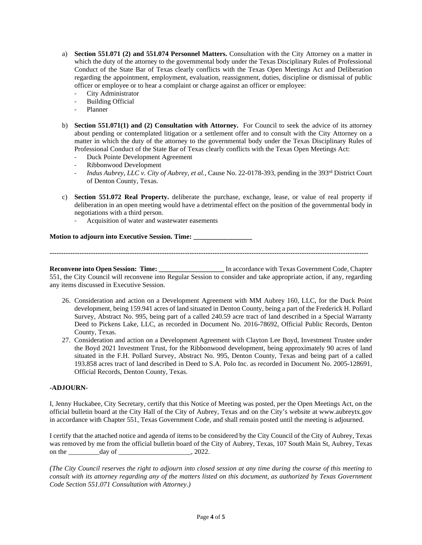- a) **Section 551.071 (2) and 551.074 Personnel Matters.** Consultation with the City Attorney on a matter in which the duty of the attorney to the governmental body under the Texas Disciplinary Rules of Professional Conduct of the State Bar of Texas clearly conflicts with the Texas Open Meetings Act and Deliberation regarding the appointment, employment, evaluation, reassignment, duties, discipline or dismissal of public officer or employee or to hear a complaint or charge against an officer or employee:
	- City Administrator
	- Building Official
	- Planner
- b) **Section 551.071(1) and (2) Consultation with Attorney.** For Council to seek the advice of its attorney about pending or contemplated litigation or a settlement offer and to consult with the City Attorney on a matter in which the duty of the attorney to the governmental body under the Texas Disciplinary Rules of Professional Conduct of the State Bar of Texas clearly conflicts with the Texas Open Meetings Act:
	- Duck Pointe Development Agreement
	- Ribbonwood Development
	- *Indus Aubrey, LLC v. City of Aubrey, et al.,* Cause No. 22-0178-393, pending in the 393rd District Court of Denton County, Texas.
- c) **Section 551.072 Real Property.** deliberate the purchase, exchange, lease, or value of real property if deliberation in an open meeting would have a detrimental effect on the position of the governmental body in negotiations with a third person.
	- Acquisition of water and wastewater easements

## **Motion to adjourn into Executive Session. Time: \_\_\_\_\_\_\_\_\_\_\_\_\_\_\_\_\_**

**-------------------------------------------------------------------------------------------------------------------------------------------**

# **Reconvene into Open Session: Time:** \_\_\_\_\_\_\_\_\_\_\_\_\_\_\_\_\_\_\_\_\_ In accordance with Texas Government Code, Chapter 551, the City Council will reconvene into Regular Session to consider and take appropriate action, if any, regarding any items discussed in Executive Session.

- 26. Consideration and action on a Development Agreement with MM Aubrey 160, LLC, for the Duck Point development, being 159.941 acres of land situated in Denton County, being a part of the Frederick H. Pollard Survey, Abstract No. 995, being part of a called 240.59 acre tract of land described in a Special Warranty Deed to Pickens Lake, LLC, as recorded in Document No. 2016-78692, Official Public Records, Denton County, Texas.
- 27. Consideration and action on a Development Agreement with Clayton Lee Boyd, Investment Trustee under the Boyd 2021 Investment Trust, for the Ribbonwood development, being approximately 90 acres of land situated in the F.H. Pollard Survey, Abstract No. 995, Denton County, Texas and being part of a called 193.858 acres tract of land described in Deed to S.A. Polo Inc. as recorded in Document No. 2005-128691, Official Records, Denton County, Texas.

# **-ADJOURN-**

I, Jenny Huckabee, City Secretary, certify that this Notice of Meeting was posted, per the Open Meetings Act, on the official bulletin board at the City Hall of the City of Aubrey, Texas and on the City's website at www.aubreytx.gov in accordance with Chapter 551, Texas Government Code, and shall remain posted until the meeting is adjourned.

I certify that the attached notice and agenda of items to be considered by the City Council of the City of Aubrey, Texas was removed by me from the official bulletin board of the City of Aubrey, Texas, 107 South Main St, Aubrey, Texas on the \_\_\_\_\_\_\_\_\_day of \_\_\_\_\_\_\_\_\_\_\_\_\_\_\_\_\_\_\_\_\_, 2022.

*(The City Council reserves the right to adjourn into closed session at any time during the course of this meeting to consult with its attorney regarding any of the matters listed on this document, as authorized by Texas Government Code Section 551.071 Consultation with Attorney.)*